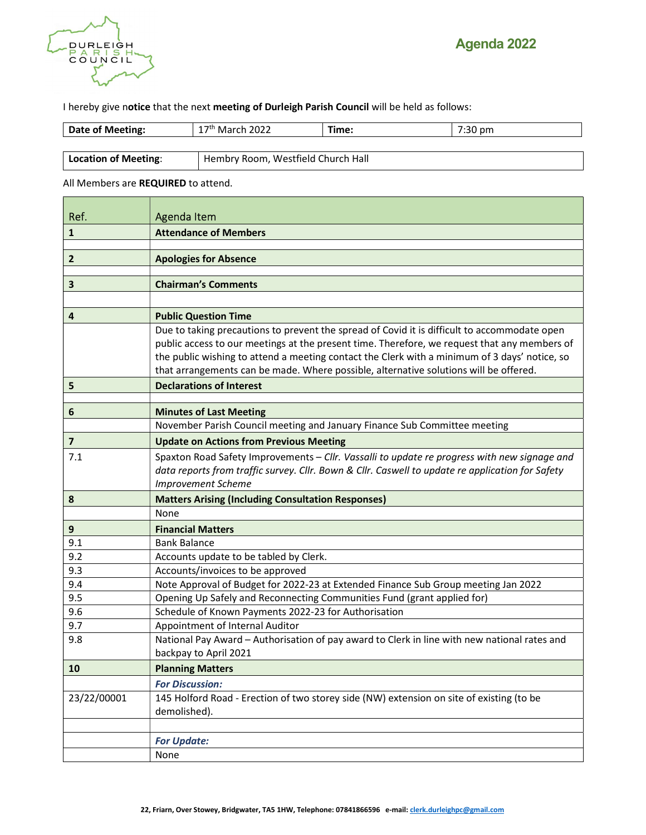

I hereby give notice that the next meeting of Durleigh Parish Council will be held as follows:

| Date of Meeting:     | 2022<br><sup>* 7th</sup> March .      | Fime: | フ・マハ<br>7:30 pm |  |
|----------------------|---------------------------------------|-------|-----------------|--|
|                      |                                       |       |                 |  |
| Location of Meeting: | Westfield Church Hall<br>Hembry Room, |       |                 |  |

All Members are REQUIRED to attend.

| Ref.           | Agenda Item                                                                                                           |  |  |  |
|----------------|-----------------------------------------------------------------------------------------------------------------------|--|--|--|
| 1              | <b>Attendance of Members</b>                                                                                          |  |  |  |
|                |                                                                                                                       |  |  |  |
| $\overline{2}$ | <b>Apologies for Absence</b>                                                                                          |  |  |  |
| 3              | <b>Chairman's Comments</b>                                                                                            |  |  |  |
|                |                                                                                                                       |  |  |  |
| 4              | <b>Public Question Time</b>                                                                                           |  |  |  |
|                | Due to taking precautions to prevent the spread of Covid it is difficult to accommodate open                          |  |  |  |
|                | public access to our meetings at the present time. Therefore, we request that any members of                          |  |  |  |
|                | the public wishing to attend a meeting contact the Clerk with a minimum of 3 days' notice, so                         |  |  |  |
|                | that arrangements can be made. Where possible, alternative solutions will be offered.                                 |  |  |  |
| 5              | <b>Declarations of Interest</b>                                                                                       |  |  |  |
|                |                                                                                                                       |  |  |  |
| 6              | <b>Minutes of Last Meeting</b>                                                                                        |  |  |  |
|                | November Parish Council meeting and January Finance Sub Committee meeting                                             |  |  |  |
| $\overline{7}$ | <b>Update on Actions from Previous Meeting</b>                                                                        |  |  |  |
| 7.1            | Spaxton Road Safety Improvements - Cllr. Vassalli to update re progress with new signage and                          |  |  |  |
|                | data reports from traffic survey. Cllr. Bown & Cllr. Caswell to update re application for Safety                      |  |  |  |
|                | <b>Improvement Scheme</b>                                                                                             |  |  |  |
| 8              | <b>Matters Arising (Including Consultation Responses)</b>                                                             |  |  |  |
|                | None                                                                                                                  |  |  |  |
| 9              | <b>Financial Matters</b>                                                                                              |  |  |  |
| 9.1            | <b>Bank Balance</b>                                                                                                   |  |  |  |
| 9.2            | Accounts update to be tabled by Clerk.                                                                                |  |  |  |
| 9.3            | Accounts/invoices to be approved                                                                                      |  |  |  |
| 9.4            | Note Approval of Budget for 2022-23 at Extended Finance Sub Group meeting Jan 2022                                    |  |  |  |
| 9.5            | Opening Up Safely and Reconnecting Communities Fund (grant applied for)                                               |  |  |  |
| 9.6            | Schedule of Known Payments 2022-23 for Authorisation                                                                  |  |  |  |
| 9.7            | Appointment of Internal Auditor                                                                                       |  |  |  |
| 9.8            | National Pay Award - Authorisation of pay award to Clerk in line with new national rates and<br>backpay to April 2021 |  |  |  |
| 10             | <b>Planning Matters</b>                                                                                               |  |  |  |
|                | <b>For Discussion:</b>                                                                                                |  |  |  |
| 23/22/00001    | 145 Holford Road - Erection of two storey side (NW) extension on site of existing (to be                              |  |  |  |
|                | demolished).                                                                                                          |  |  |  |
|                |                                                                                                                       |  |  |  |
|                | <b>For Update:</b>                                                                                                    |  |  |  |
|                | None                                                                                                                  |  |  |  |
|                |                                                                                                                       |  |  |  |